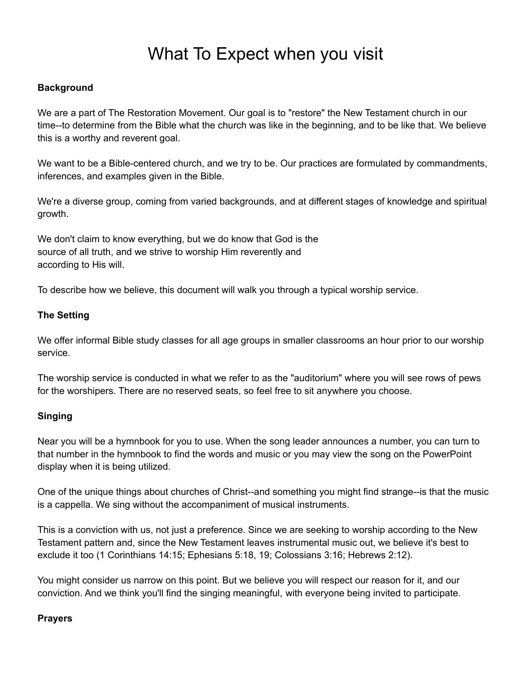# What To Expect when you visit

## **Background**

We are a part of The Restoration Movement. Our goal is to "restore" the New Testament church in our time--to determine from the Bible what the church was like in the beginning, and to be like that. We believe this is a worthy and reverent goal.

We want to be a Bible-centered church, and we try to be. Our practices are formulated by commandments, inferences, and examples given in the Bible.

We're a diverse group, coming from varied backgrounds, and at different stages of knowledge and spiritual growth.

We don't claim to know everything, but we do know that God is the source of all truth, and we strive to worship Him reverently and according to His will.

To describe how we believe, this document will walk you through a typical worship service.

## **The Setting**

We offer informal Bible study classes for all age groups in smaller classrooms an hour prior to our worship service.

The worship service is conducted in what we refer to as the "auditorium" where you will see rows of pews for the worshipers. There are no reserved seats, so feel free to sit anywhere you choose.

# **Singing**

Near you will be a hymnbook for you to use. When the song leader announces a number, you can turn to that number in the hymnbook to find the words and music or you may view the song on the PowerPoint display when it is being utilized.

One of the unique things about churches of Christ--and something you might find strange--is that the music is a cappella. We sing without the accompaniment of musical instruments.

This is a conviction with us, not just a preference. Since we are seeking to worship according to the New Testament pattern and, since the New Testament leaves instrumental music out, we believe it's best to exclude it too (1 Corinthians 14:15; Ephesians 5:18, 19; Colossians 3:16; Hebrews 2:12).

You might consider us narrow on this point. But we believe you will respect our reason for it, and our conviction. And we think you'll find the singing meaningful, with everyone being invited to participate.

#### **Prayers**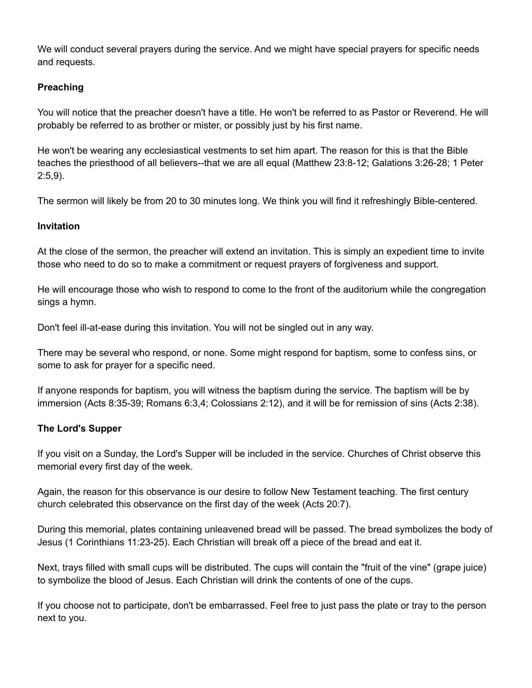We will conduct several prayers during the service. And we might have special prayers for specific needs and requests.

## **Preaching**

You will notice that the preacher doesn't have a title. He won't be referred to as Pastor or Reverend. He will probably be referred to as brother or mister, or possibly just by his first name.

He won't be wearing any ecclesiastical vestments to set him apart. The reason for this is that the Bible teaches the priesthood of all believers--that we are all equal (Matthew 23:8-12; Galations 3:26-28; 1 Peter 2:5,9).

The sermon will likely be from 20 to 30 minutes long. We think you will find it refreshingly Bible-centered.

## **Invitation**

At the close of the sermon, the preacher will extend an invitation. This is simply an expedient time to invite those who need to do so to make a commitment or request prayers of forgiveness and support.

He will encourage those who wish to respond to come to the front of the auditorium while the congregation sings a hymn.

Don't feel ill-at-ease during this invitation. You will not be singled out in any way.

There may be several who respond, or none. Some might respond for baptism, some to confess sins, or some to ask for prayer for a specific need.

If anyone responds for baptism, you will witness the baptism during the service. The baptism will be by immersion (Acts 8:35-39; Romans 6:3,4; Colossians 2:12), and it will be for remission of sins (Acts 2:38).

# **The Lord's Supper**

If you visit on a Sunday, the Lord's Supper will be included in the service. Churches of Christ observe this memorial every first day of the week.

Again, the reason for this observance is our desire to follow New Testament teaching. The first century church celebrated this observance on the first day of the week (Acts 20:7).

During this memorial, plates containing unleavened bread will be passed. The bread symbolizes the body of Jesus (1 Corinthians 11:23-25). Each Christian will break off a piece of the bread and eat it.

Next, trays filled with small cups will be distributed. The cups will contain the "fruit of the vine" (grape juice) to symbolize the blood of Jesus. Each Christian will drink the contents of one of the cups.

If you choose not to participate, don't be embarrassed. Feel free to just pass the plate or tray to the person next to you.